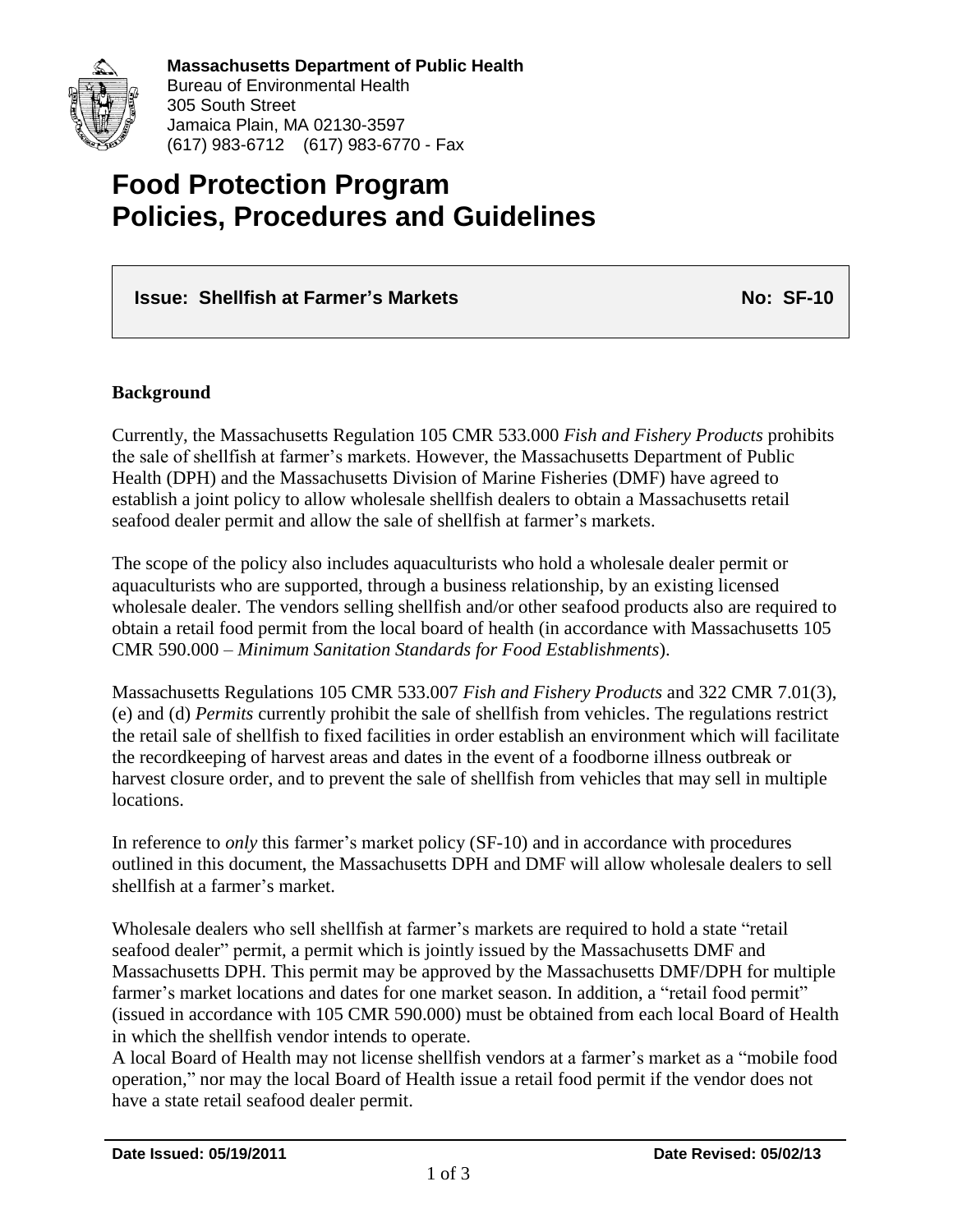

**Massachusetts Department of Public Health** Bureau of Environmental Health 305 South Street Jamaica Plain, MA 02130-3597 (617) 983-6712 (617) 983-6770 - Fax

# **Food Protection Program Policies, Procedures and Guidelines**

# **Issue: Shellfish at Farmer's Markets No: 2008 Mo: 2008 No: 2008 No: 2008 No: 2008 No: 2009 No: 2009 No: 2009 No: 2009 No: 2009 No: 2009 No: 2009 No: 2009 No: 2009 No: 2009 No: 2009 No: 2009 No: 2009 No: 2009 No: 2009 No:**

### **Background**

Currently, the Massachusetts Regulation 105 CMR 533.000 *Fish and Fishery Products* prohibits the sale of shellfish at farmer's markets. However, the Massachusetts Department of Public Health (DPH) and the Massachusetts Division of Marine Fisheries (DMF) have agreed to establish a joint policy to allow wholesale shellfish dealers to obtain a Massachusetts retail seafood dealer permit and allow the sale of shellfish at farmer's markets.

The scope of the policy also includes aquaculturists who hold a wholesale dealer permit or aquaculturists who are supported, through a business relationship, by an existing licensed wholesale dealer. The vendors selling shellfish and/or other seafood products also are required to obtain a retail food permit from the local board of health (in accordance with Massachusetts 105 CMR 590.000 – *Minimum Sanitation Standards for Food Establishments*).

Massachusetts Regulations 105 CMR 533.007 *Fish and Fishery Products* and 322 CMR 7.01(3), (e) and (d) *Permits* currently prohibit the sale of shellfish from vehicles. The regulations restrict the retail sale of shellfish to fixed facilities in order establish an environment which will facilitate the recordkeeping of harvest areas and dates in the event of a foodborne illness outbreak or harvest closure order, and to prevent the sale of shellfish from vehicles that may sell in multiple locations.

In reference to *only* this farmer's market policy (SF-10) and in accordance with procedures outlined in this document, the Massachusetts DPH and DMF will allow wholesale dealers to sell shellfish at a farmer's market.

Wholesale dealers who sell shellfish at farmer's markets are required to hold a state "retail seafood dealer" permit, a permit which is jointly issued by the Massachusetts DMF and Massachusetts DPH. This permit may be approved by the Massachusetts DMF/DPH for multiple farmer's market locations and dates for one market season. In addition, a "retail food permit" (issued in accordance with 105 CMR 590.000) must be obtained from each local Board of Health in which the shellfish vendor intends to operate.

A local Board of Health may not license shellfish vendors at a farmer's market as a "mobile food operation," nor may the local Board of Health issue a retail food permit if the vendor does not have a state retail seafood dealer permit.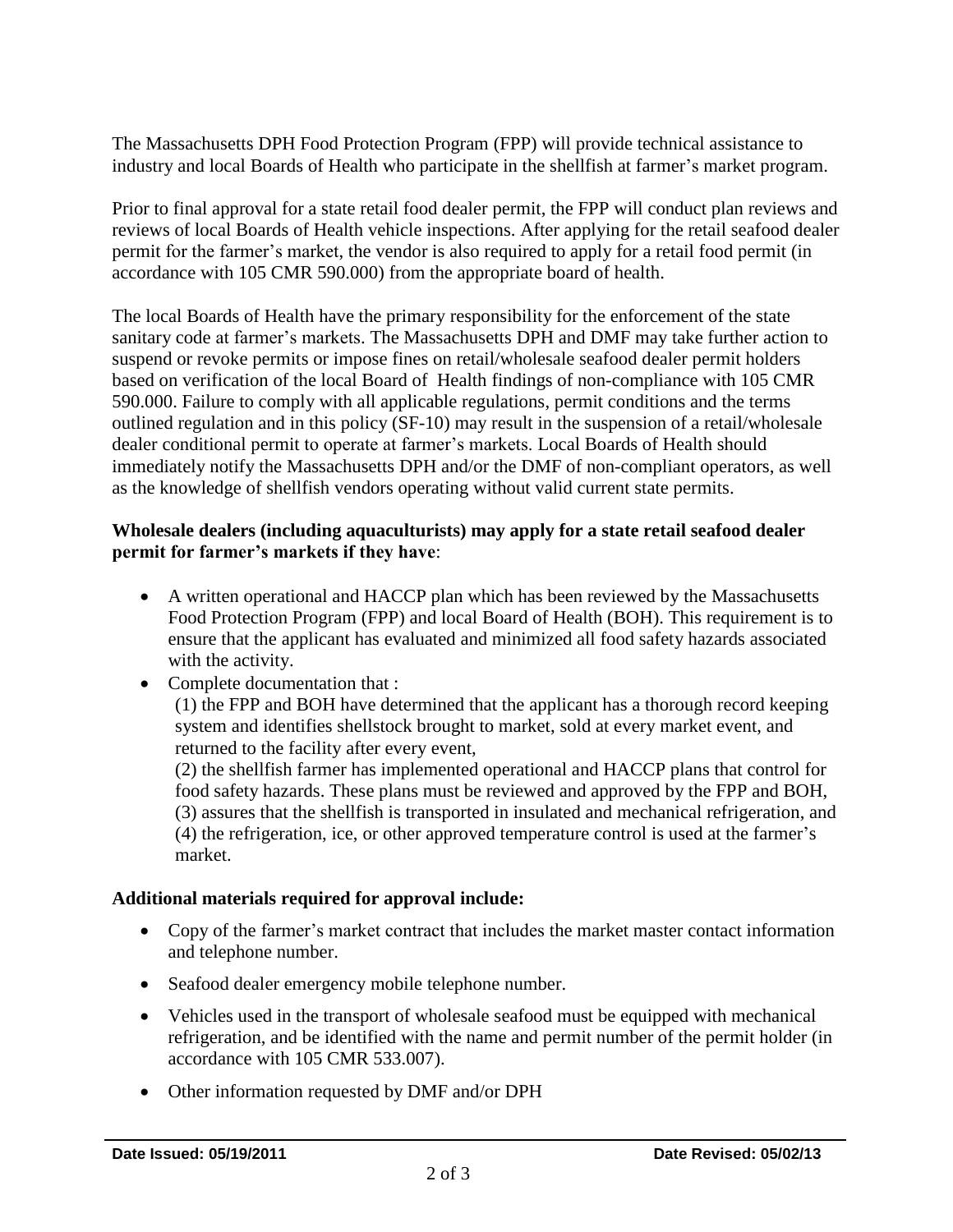The Massachusetts DPH Food Protection Program (FPP) will provide technical assistance to industry and local Boards of Health who participate in the shellfish at farmer's market program.

Prior to final approval for a state retail food dealer permit, the FPP will conduct plan reviews and reviews of local Boards of Health vehicle inspections. After applying for the retail seafood dealer permit for the farmer's market, the vendor is also required to apply for a retail food permit (in accordance with 105 CMR 590.000) from the appropriate board of health.

The local Boards of Health have the primary responsibility for the enforcement of the state sanitary code at farmer's markets. The Massachusetts DPH and DMF may take further action to suspend or revoke permits or impose fines on retail/wholesale seafood dealer permit holders based on verification of the local Board of Health findings of non-compliance with 105 CMR 590.000. Failure to comply with all applicable regulations, permit conditions and the terms outlined regulation and in this policy (SF-10) may result in the suspension of a retail/wholesale dealer conditional permit to operate at farmer's markets. Local Boards of Health should immediately notify the Massachusetts DPH and/or the DMF of non-compliant operators, as well as the knowledge of shellfish vendors operating without valid current state permits.

## **Wholesale dealers (including aquaculturists) may apply for a state retail seafood dealer permit for farmer's markets if they have**:

- A written operational and HACCP plan which has been reviewed by the Massachusetts Food Protection Program (FPP) and local Board of Health (BOH). This requirement is to ensure that the applicant has evaluated and minimized all food safety hazards associated with the activity.
- Complete documentation that :

(1) the FPP and BOH have determined that the applicant has a thorough record keeping system and identifies shellstock brought to market, sold at every market event, and returned to the facility after every event,

(2) the shellfish farmer has implemented operational and HACCP plans that control for food safety hazards. These plans must be reviewed and approved by the FPP and BOH, (3) assures that the shellfish is transported in insulated and mechanical refrigeration, and (4) the refrigeration, ice, or other approved temperature control is used at the farmer's market.

# **Additional materials required for approval include:**

- Copy of the farmer's market contract that includes the market master contact information and telephone number.
- Seafood dealer emergency mobile telephone number.
- Vehicles used in the transport of wholesale seafood must be equipped with mechanical refrigeration, and be identified with the name and permit number of the permit holder (in accordance with 105 CMR 533.007).
- Other information requested by DMF and/or DPH